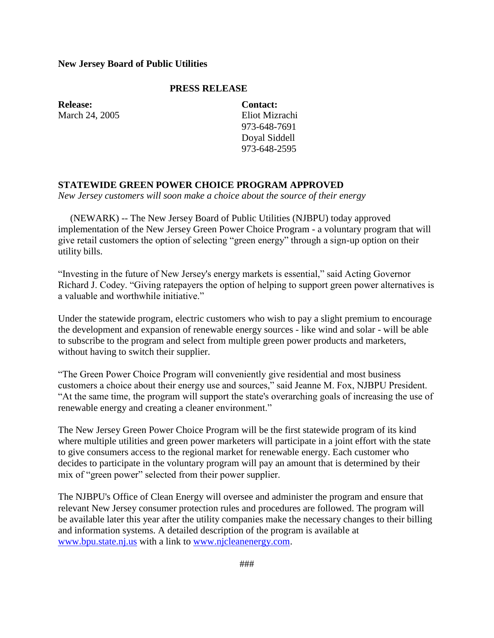## **New Jersey Board of Public Utilities**

## **PRESS RELEASE**

**Release:** March 24, 2005 **Contact:** Eliot Mizrachi 973-648-7691 Doyal Siddell 973-648-2595

## **STATEWIDE GREEN POWER CHOICE PROGRAM APPROVED**

*New Jersey customers will soon make a choice about the source of their energy*

 (NEWARK) -- The New Jersey Board of Public Utilities (NJBPU) today approved implementation of the New Jersey Green Power Choice Program - a voluntary program that will give retail customers the option of selecting "green energy" through a sign-up option on their utility bills.

"Investing in the future of New Jersey's energy markets is essential," said Acting Governor Richard J. Codey. "Giving ratepayers the option of helping to support green power alternatives is a valuable and worthwhile initiative."

Under the statewide program, electric customers who wish to pay a slight premium to encourage the development and expansion of renewable energy sources - like wind and solar - will be able to subscribe to the program and select from multiple green power products and marketers, without having to switch their supplier.

"The Green Power Choice Program will conveniently give residential and most business customers a choice about their energy use and sources," said Jeanne M. Fox, NJBPU President. "At the same time, the program will support the state's overarching goals of increasing the use of renewable energy and creating a cleaner environment."

The New Jersey Green Power Choice Program will be the first statewide program of its kind where multiple utilities and green power marketers will participate in a joint effort with the state to give consumers access to the regional market for renewable energy. Each customer who decides to participate in the voluntary program will pay an amount that is determined by their mix of "green power" selected from their power supplier.

The NJBPU's Office of Clean Energy will oversee and administer the program and ensure that relevant New Jersey consumer protection rules and procedures are followed. The program will be available later this year after the utility companies make the necessary changes to their billing and information systems. A detailed description of the program is available at [www.bpu.state.nj.us](http://www.bpu.state.nj.us/) with a link to [www.njcleanenergy.com.](http://www.njcleanenergy.com/)